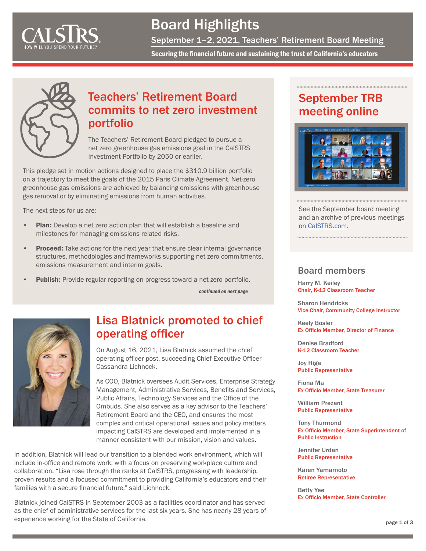<span id="page-0-0"></span>

## Board Highlights

September 1–2, 2021, Teachers' Retirement Board Meeting

Securing the financial future and sustaining the trust of California's educators



#### Teachers' Retirement Board commits to net zero investment portfolio

The Teachers' Retirement Board pledged to pursue a net zero greenhouse gas emissions goal in the CalSTRS Investment Portfolio by 2050 or earlier.

This pledge set in motion actions designed to place the \$310.9 billion portfolio on a trajectory to meet the goals of the 2015 Paris Climate Agreement. Net-zero greenhouse gas emissions are achieved by balancing emissions with greenhouse gas removal or by eliminating emissions from human activities.

The next steps for us are:

- Plan: Develop a net zero action plan that will establish a baseline and milestones for managing emissions-related risks.
- Proceed: Take actions for the next year that ensure clear internal governance structures, methodologies and frameworks supporting net zero commitments, emissions measurement and interim goals.
- Publish: Provide regular reporting on progress toward a net zero portfolio.

*[continued on next page](#page-1-0)*



#### Lisa Blatnick promoted to chief operating officer

On August 16, 2021, Lisa Blatnick assumed the chief operating officer post, succeeding Chief Executive Officer Cassandra Lichnock.

As COO, Blatnick oversees Audit Services, Enterprise Strategy Management, Administrative Services, Benefits and Services, Public Affairs, Technology Services and the Office of the Ombuds. She also serves as a key advisor to the Teachers' Retirement Board and the CEO, and ensures the most complex and critical operational issues and policy matters impacting CalSTRS are developed and implemented in a manner consistent with our mission, vision and values.

In addition, Blatnick will lead our transition to a blended work environment, which will include in-office and remote work, with a focus on preserving workplace culture and collaboration. "Lisa rose through the ranks at CalSTRS, progressing with leadership, proven results and a focused commitment to providing California's educators and their families with a secure financial future," said Lichnock.

Blatnick joined CalSTRS in September 2003 as a facilities coordinator and has served as the chief of administrative services for the last six years. She has nearly 28 years of experience working for the State of California.

### September TRB meeting online



See the September board meeting and an archive of previous meetings on [CalSTRS.com.](https://www.calstrs.com/board-meeting-video-archive)

#### Board members

Harry M. Keiley Chair, K-12 Classroom Teacher

Sharon Hendricks Vice Chair, Community College Instructor

Keely Bosler Ex Officio Member, Director of Finance

Denise Bradford K-12 Classroom Teacher

Joy Higa Public Representative

Fiona Ma Ex Officio Member, State Treasurer

William Prezant Public Representative

Tony Thurmond Ex Officio Member, State Superintendent of Public Instruction

Jennifer Urdan Public Representative

Karen Yamamoto Retiree Representative

Betty Yee Ex Officio Member, State Controller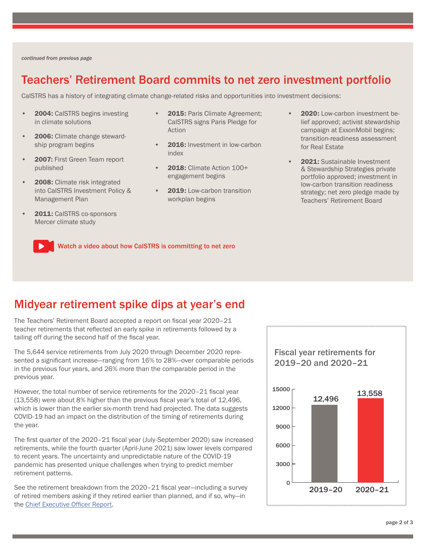<span id="page-1-0"></span>*[continued from previous page](#page-0-0)*

#### Teachers' Retirement Board commits to net zero investment portfolio

CalSTRS has a history of integrating climate change-related risks and opportunities into investment decisions:

- 2004: CalSTRS begins investing in climate solutions
- 2006: Climate change stewardship program begins
- 2007: First Green Team report published
- 2008: Climate risk integrated into CalSTRS Investment Policy & Management Plan
- 2011: CalSTRS co-sponsors Mercer climate study
- 2015: Paris Climate Agreement; CalSTRS signs Paris Pledge for Action
- 2016: Investment in low-carbon index
- 2018: Climate Action 100+ engagement begins
- 2019: Low-carbon transition workplan begins
- 2020: Low-carbon investment belief approved; activist stewardship campaign at ExxonMobil begins; transition-readiness assessment for Real Estate
- 2021: Sustainable Investment & Stewardship Strategies private portfolio approved; investment in low-carbon transition readiness strategy; net zero pledge made by Teachers' Retirement Board

[Watch a video about how CalSTRS is committing to net zero](https://www.youtube.com/watch?v=nv8vvb8VPQ0)

#### Midyear retirement spike dips at year's end

The Teachers' Retirement Board accepted a report on fiscal year 2020–21 teacher retirements that reflected an early spike in retirements followed by a tailing off during the second half of the fiscal year.

The 5,644 service retirements from July 2020 through December 2020 represented a significant increase—ranging from 16% to 28%—over comparable periods in the previous four years, and 26% more than the comparable period in the previous year.

However, the total number of service retirements for the 2020–21 fiscal year (13,558) were about 8% higher than the previous fiscal year's total of 12,496, which is lower than the earlier six-month trend had projected. The data suggests COVID-19 had an impact on the distribution of the timing of retirements during the year.

The first quarter of the 2020–21 fiscal year (July-September 2020) saw increased retirements, while the fourth quarter (April-June 2021) saw lower levels compared to recent years. The uncertainty and unpredictable nature of the COVID-19 pandemic has presented unique challenges when trying to predict member retirement patterns.

See the retirement breakdown from the 2020–21 fiscal year—including a survey of retired members asking if they retired earlier than planned, and if so, why—in the [Chief Executive Officer Report.](https://resources.calstrs.com/publicdocs/Page/CommonPage.aspx?PageName=DocumentDownload&Id=25c557b5-25f6-4754-94f1-8e825c31cf97)